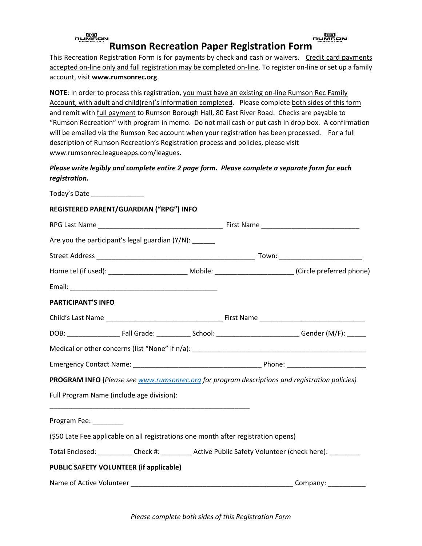### **RUMBON RUMBON Rumson Recreation Paper Registration Form**

This Recreation Registration Form is for payments by check and cash or waivers. Credit card payments accepted on-line only and full registration may be completed on-line. To register on-line or set up a family account, visit **www.rumsonrec.org**.

**NOTE**: In order to process this registration, you must have an existing on-line Rumson Rec Family Account, with adult and child(ren)'s information completed. Please complete both sides of this form and remit with *full payment* to Rumson Borough Hall, 80 East River Road. Checks are payable to "Rumson Recreation" with program in memo. Do not mail cash or put cash in drop box. A confirmation will be emailed via the Rumson Rec account when your registration has been processed. For a full description of Rumson Recreation's Registration process and policies, please visit www.rumsonrec.leagueapps.com/leagues.

# *Please write legibly and complete entire 2 page form. Please complete a separate form for each registration.*

| Today's Date _________________                                                                                       |  |
|----------------------------------------------------------------------------------------------------------------------|--|
| REGISTERED PARENT/GUARDIAN ("RPG") INFO                                                                              |  |
|                                                                                                                      |  |
| Are you the participant's legal guardian $(Y/N)$ :                                                                   |  |
|                                                                                                                      |  |
| Home tel (if used): _________________________________Mobile: ______________________________(Circle preferred phone)  |  |
|                                                                                                                      |  |
| <b>PARTICIPANT'S INFO</b>                                                                                            |  |
|                                                                                                                      |  |
| DOB: _________________________Fall Grade: _______________School: _______________________________Gender (M/F): ______ |  |
|                                                                                                                      |  |
|                                                                                                                      |  |
| PROGRAM INFO (Please see www.rumsonrec.org for program descriptions and registration policies)                       |  |
| Full Program Name (include age division):                                                                            |  |
| <u> 1999 - Johann Stein, mars and de Britannich (b. 1989)</u><br>Program Fee: _________                              |  |
| (\$50 Late Fee applicable on all registrations one month after registration opens)                                   |  |
| Total Enclosed: ___________ Check #: _________ Active Public Safety Volunteer (check here): ________                 |  |
| PUBLIC SAFETY VOLUNTEER (if applicable)                                                                              |  |
|                                                                                                                      |  |